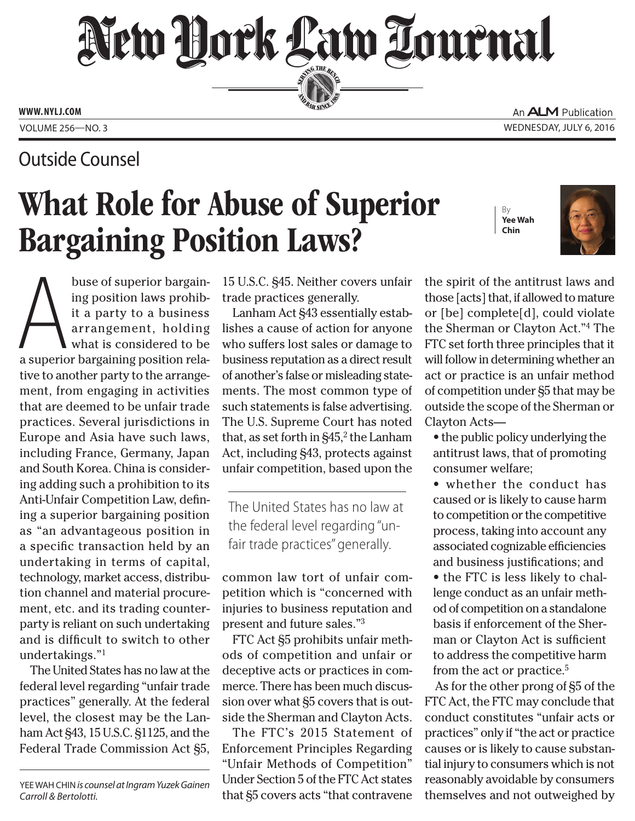New Hork Law Lournal SERVING THE BEN

**ED BAR SINCE 188** 

**www. NYLJ.com**

Volume 256—NO. 3 Wednesday, July 6, 2016

## Outside Counsel

## What Role for Abuse of Superior Bargaining Position Laws?

By **Yee Wah Chin**



An **ALM** Publication

buse of superior bargain-<br>ing position laws prohib-<br>it a party to a business<br>arrangement, holding<br>what is considered to be<br>a superior bargaining position relabuse of superior bargaining position laws prohibit a party to a business arrangement, holding what is considered to be tive to another party to the arrangement, from engaging in activities that are deemed to be unfair trade practices. Several jurisdictions in Europe and Asia have such laws, including France, Germany, Japan and South Korea. China is considering adding such a prohibition to its Anti-Unfair Competition Law, defining a superior bargaining position as "an advantageous position in a specific transaction held by an undertaking in terms of capital, technology, market access, distribution channel and material procurement, etc. and its trading counterparty is reliant on such undertaking and is difficult to switch to other undertakings."1

The United States has no law at the federal level regarding "unfair trade practices" generally. At the federal level, the closest may be the Lanham Act §43, 15 U.S.C. §1125, and the Federal Trade Commission Act §5,

Yee Wah Chin *is counsel at Ingram Yuzek Gainen Carroll & Bertolotti.*

15 U.S.C. §45. Neither covers unfair trade practices generally.

Lanham Act §43 essentially establishes a cause of action for anyone who suffers lost sales or damage to business reputation as a direct result of another's false or misleading statements. The most common type of such statements is false advertising. The U.S. Supreme Court has noted that, as set forth in  $\S45<sup>2</sup>$  the Lanham Act, including §43, protects against unfair competition, based upon the

The United States has no law at the federal level regarding "unfair trade practices" generally.

common law tort of unfair competition which is "concerned with injuries to business reputation and present and future sales."3

FTC Act §5 prohibits unfair methods of competition and unfair or deceptive acts or practices in commerce. There has been much discussion over what §5 covers that is outside the Sherman and Clayton Acts.

The FTC's 2015 Statement of Enforcement Principles Regarding "Unfair Methods of Competition" Under Section 5 of the FTC Act states that §5 covers acts "that contravene the spirit of the antitrust laws and those [acts] that, if allowed to mature or [be] complete[d], could violate the Sherman or Clayton Act."4 The FTC set forth three principles that it will follow in determining whether an act or practice is an unfair method of competition under §5 that may be outside the scope of the Sherman or Clayton Acts—

• the public policy underlying the antitrust laws, that of promoting consumer welfare;

• whether the conduct has caused or is likely to cause harm to competition or the competitive process, taking into account any associated cognizable efficiencies and business justifications; and • the FTC is less likely to challenge conduct as an unfair method of competition on a standalone basis if enforcement of the Sherman or Clayton Act is sufficient to address the competitive harm from the act or practice.5

As for the other prong of §5 of the FTC Act, the FTC may conclude that conduct constitutes "unfair acts or practices" only if "the act or practice causes or is likely to cause substantial injury to consumers which is not reasonably avoidable by consumers themselves and not outweighed by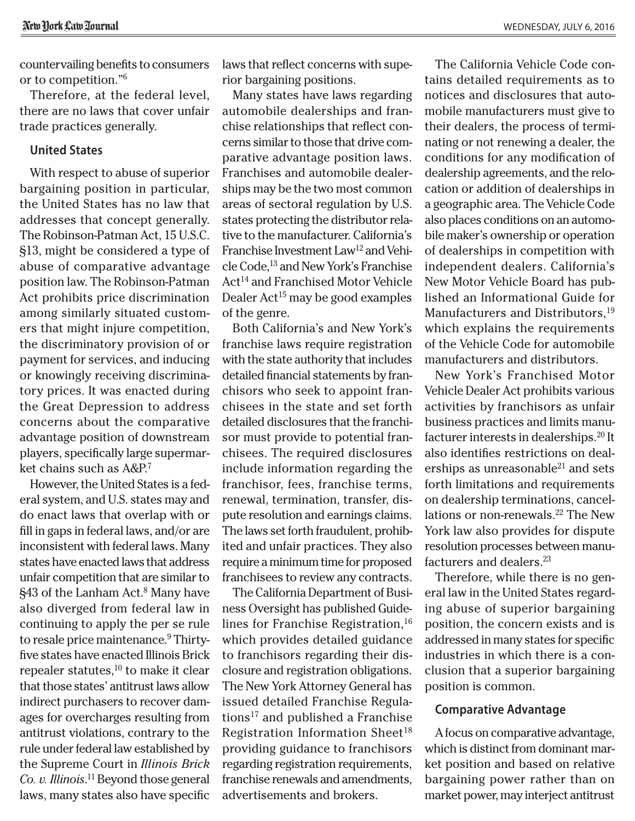countervailing benefits to consumers or to competition."6

Therefore, at the federal level, there are no laws that cover unfair trade practices generally.

## **United States**

With respect to abuse of superior bargaining position in particular, the United States has no law that addresses that concept generally. The Robinson-Patman Act, 15 U.S.C. §13, might be considered a type of abuse of comparative advantage position law. The Robinson-Patman Act prohibits price discrimination among similarly situated customers that might injure competition, the discriminatory provision of or payment for services, and inducing or knowingly receiving discriminatory prices. It was enacted during the Great Depression to address concerns about the comparative advantage position of downstream players, specifically large supermarket chains such as A&P.7

However, the United States is a federal system, and U.S. states may and do enact laws that overlap with or fill in gaps in federal laws, and/or are inconsistent with federal laws. Many states have enacted laws that address unfair competition that are similar to §43 of the Lanham Act.<sup>8</sup> Many have also diverged from federal law in continuing to apply the per se rule to resale price maintenance.<sup>9</sup> Thirtyfive states have enacted Illinois Brick repealer statutes, $10$  to make it clear that those states' antitrust laws allow indirect purchasers to recover damages for overcharges resulting from antitrust violations, contrary to the rule under federal law established by the Supreme Court in *[Illinois Brick](CITE: 431 U.S. 720) [Co. v. Illinois](CITE: 431 U.S. 720)*. 11 Beyond those general laws, many states also have specific

laws that reflect concerns with superior bargaining positions.

Many states have laws regarding automobile dealerships and franchise relationships that reflect concerns similar to those that drive comparative advantage position laws. Franchises and automobile dealerships may be the two most common areas of sectoral regulation by U.S. states protecting the distributor relative to the manufacturer. California's Franchise Investment Law<sup>12</sup> and Vehicle Code,<sup>13</sup> and New York's Franchise Act<sup>14</sup> and Franchised Motor Vehicle Dealer  $Act^{15}$  may be good examples of the genre.

Both California's and New York's franchise laws require registration with the state authority that includes detailed financial statements by franchisors who seek to appoint franchisees in the state and set forth detailed disclosures that the franchisor must provide to potential franchisees. The required disclosures include information regarding the franchisor, fees, franchise terms, renewal, termination, transfer, dispute resolution and earnings claims. The laws set forth fraudulent, prohibited and unfair practices. They also require a minimum time for proposed franchisees to review any contracts.

The California Department of Business Oversight has published Guidelines for Franchise Registration,  $16$ which provides detailed guidance to franchisors regarding their disclosure and registration obligations. The New York Attorney General has issued detailed Franchise Regulations<sup>17</sup> and published a Franchise Registration Information Sheet<sup>18</sup> providing guidance to franchisors regarding registration requirements, franchise renewals and amendments, advertisements and brokers.

The California Vehicle Code contains detailed requirements as to notices and disclosures that automobile manufacturers must give to their dealers, the process of terminating or not renewing a dealer, the conditions for any modification of dealership agreements, and the relocation or addition of dealerships in a geographic area. The Vehicle Code also places conditions on an automobile maker's ownership or operation of dealerships in competition with independent dealers. California's New Motor Vehicle Board has published an Informational Guide for Manufacturers and Distributors,<sup>19</sup> which explains the requirements of the Vehicle Code for automobile manufacturers and distributors.

New York's Franchised Motor Vehicle Dealer Act prohibits various activities by franchisors as unfair business practices and limits manufacturer interests in dealerships.20 It also identifies restrictions on dealerships as unreasonable $^{21}$  and sets forth limitations and requirements on dealership terminations, cancellations or non-renewals.<sup>22</sup> The New York law also provides for dispute resolution processes between manufacturers and dealers.23

Therefore, while there is no general law in the United States regarding abuse of superior bargaining position, the concern exists and is addressed in many states for specific industries in which there is a conclusion that a superior bargaining position is common.

## **Comparative Advantage**

A focus on comparative advantage, which is distinct from dominant market position and based on relative bargaining power rather than on market power, may interject antitrust